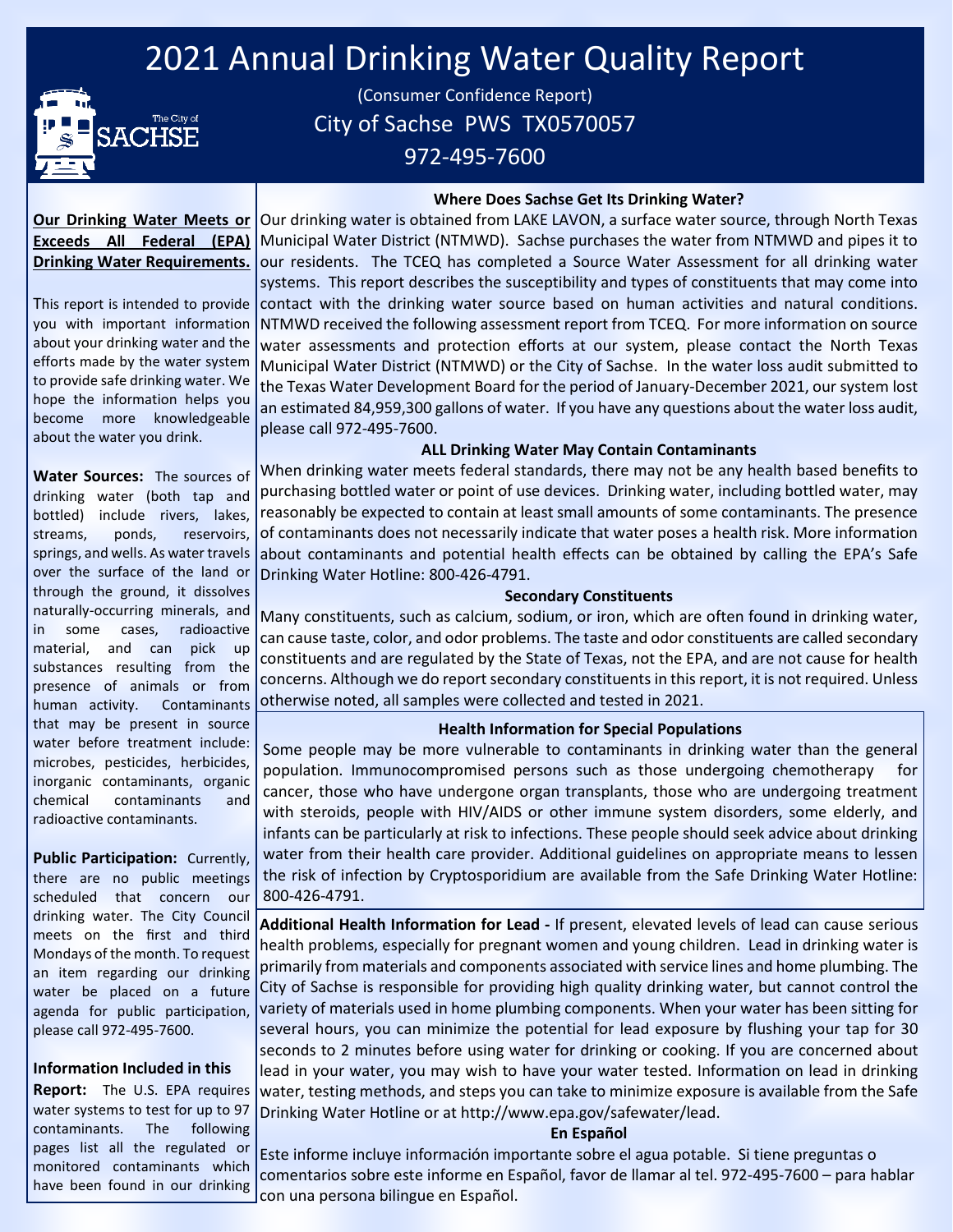# 2021 Annual Drinking Water Quality Report



(Consumer Confidence Report) City of Sachse PWS TX0570057 972-495-7600

### **Where Does Sachse Get Its Drinking Water?**

### **Our Drinking Water Meets or Exceeds All Federal (EPA) Drinking Water Requirements.**

This report is intended to provide you with important information about your drinking water and the efforts made by the water system to provide safe drinking water. We hope the information helps you become more knowledgeable about the water you drink.

Our drinking water is obtained from LAKE LAVON, a surface water source, through North Texas Municipal Water District (NTMWD). Sachse purchases the water from NTMWD and pipes it to our residents. The TCEQ has completed a Source Water Assessment for all drinking water

systems. This report describes the susceptibility and types of constituents that may come into contact with the drinking water source based on human activities and natural conditions. NTMWD received the following assessment report from TCEQ. For more information on source water assessments and protection efforts at our system, please contact the North Texas Municipal Water District (NTMWD) or the City of Sachse. In the water loss audit submitted to the Texas Water Development Board for the period of January-December 2021, our system lost an estimated 84,959,300 gallons of water. If you have any questions about the water loss audit, please call 972-495-7600.

### **ALL Drinking Water May Contain Contaminants**

**Water Sources:** The sources of drinking water (both tap and bottled) include rivers, lakes, streams, ponds, reservoirs, springs, and wells. As water travels over the surface of the land or through the ground, it dissolves naturally-occurring minerals, and in some cases, radioactive material, and can pick up substances resulting from the presence of animals or from human activity. Contaminants that may be present in source water before treatment include: microbes, pesticides, herbicides, inorganic contaminants, organic chemical contaminants and radioactive contaminants.

**Public Participation:** Currently, there are no public meetings scheduled that concern our drinking water. The City Council meets on the first and third Mondays of the month. To request an item regarding our drinking water be placed on a future agenda for public participation,

### **Information Included in this**

please call 972-495-7600.

**Report:** The U.S. EPA requires water systems to test for up to 97 contaminants. The following pages list all the regulated or monitored contaminants which have been found in our drinking

When drinking water meets federal standards, there may not be any health based benefits to purchasing bottled water or point of use devices. Drinking water, including bottled water, may reasonably be expected to contain at least small amounts of some contaminants. The presence of contaminants does not necessarily indicate that water poses a health risk. More information about contaminants and potential health effects can be obtained by calling the EPA's Safe Drinking Water Hotline: 800-426-4791.

#### **Secondary Constituents**

Many constituents, such as calcium, sodium, or iron, which are often found in drinking water, can cause taste, color, and odor problems. The taste and odor constituents are called secondary constituents and are regulated by the State of Texas, not the EPA, and are not cause for health concerns. Although we do report secondary constituents in this report, it is not required. Unless otherwise noted, all samples were collected and tested in 2021.

### **Health Information for Special Populations**

Some people may be more vulnerable to contaminants in drinking water than the general population. Immunocompromised persons such as those undergoing chemotherapy for cancer, those who have undergone organ transplants, those who are undergoing treatment with steroids, people with HIV/AIDS or other immune system disorders, some elderly, and infants can be particularly at risk to infections. These people should seek advice about drinking water from their health care provider. Additional guidelines on appropriate means to lessen the risk of infection by Cryptosporidium are available from the Safe Drinking Water Hotline: 800-426-4791.

**Additional Health Information for Lead -** If present, elevated levels of lead can cause serious health problems, especially for pregnant women and young children. Lead in drinking water is primarily from materials and components associated with service lines and home plumbing. The City of Sachse is responsible for providing high quality drinking water, but cannot control the variety of materials used in home plumbing components. When your water has been sitting for several hours, you can minimize the potential for lead exposure by flushing your tap for 30 seconds to 2 minutes before using water for drinking or cooking. If you are concerned about lead in your water, you may wish to have your water tested. Information on lead in drinking water, testing methods, and steps you can take to minimize exposure is available from the Safe Drinking Water Hotline or at http://www.epa.gov/safewater/lead.

#### **En Español**

Este informe incluye información importante sobre el agua potable. Si tiene preguntas o comentarios sobre este informe en Español, favor de llamar al tel. 972-495-7600 – para hablar con una persona bilingue en Español.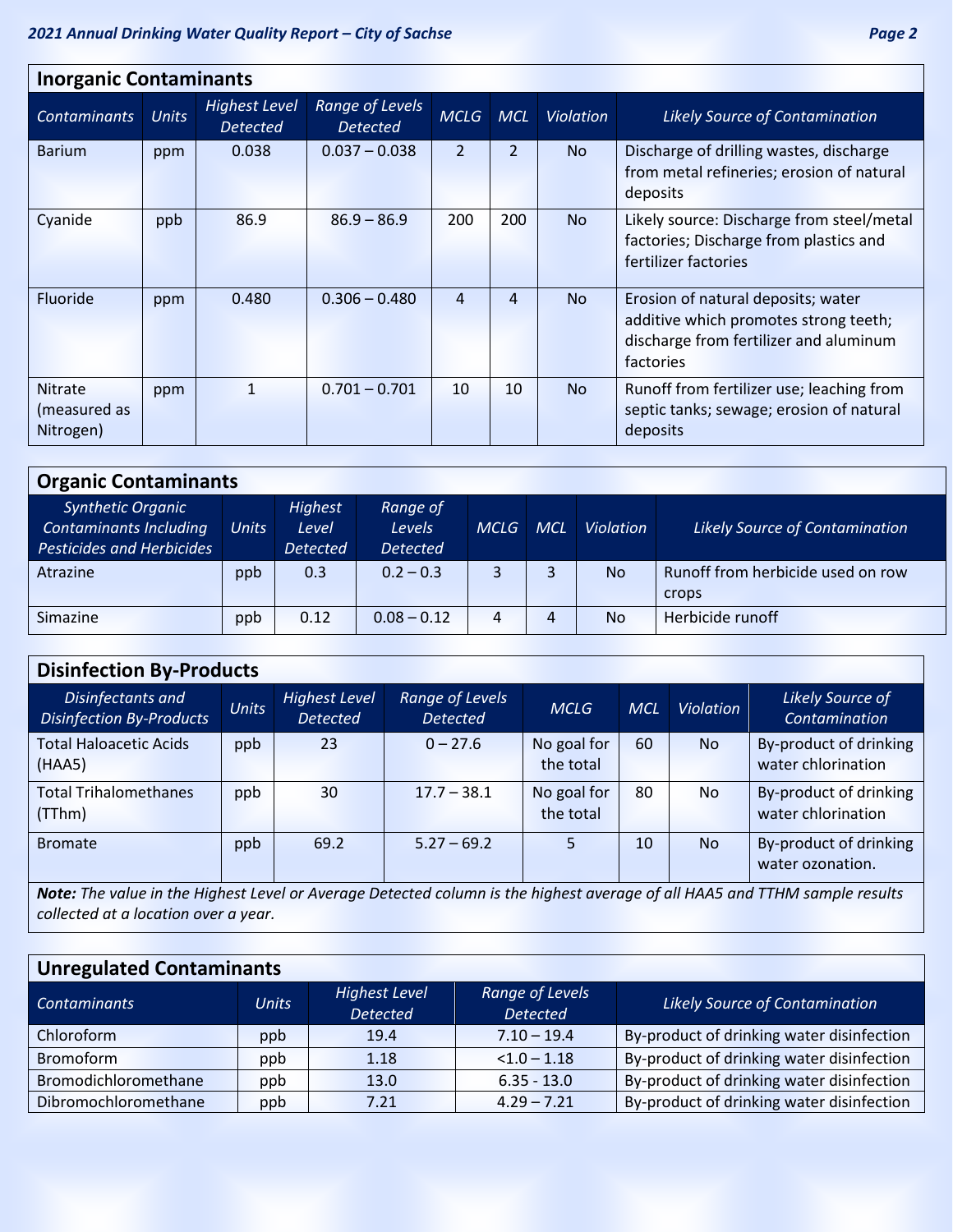| <b>Inorganic Contaminants</b>               |              |                                         |                                    |                |                |                  |                                                                                                                                    |  |  |  |
|---------------------------------------------|--------------|-----------------------------------------|------------------------------------|----------------|----------------|------------------|------------------------------------------------------------------------------------------------------------------------------------|--|--|--|
| <b>Contaminants</b>                         | <b>Units</b> | <b>Highest Level</b><br><b>Detected</b> | Range of Levels<br><b>Detected</b> | <b>MCLG</b>    | <b>MCL</b>     | <b>Violation</b> | <b>Likely Source of Contamination</b>                                                                                              |  |  |  |
| <b>Barium</b>                               | ppm          | 0.038                                   | $0.037 - 0.038$                    | $\overline{2}$ | $\overline{2}$ | <b>No</b>        | Discharge of drilling wastes, discharge<br>from metal refineries; erosion of natural<br>deposits                                   |  |  |  |
| Cyanide                                     | ppb          | 86.9                                    | $86.9 - 86.9$                      | 200            | 200            | <b>No</b>        | Likely source: Discharge from steel/metal<br>factories; Discharge from plastics and<br>fertilizer factories                        |  |  |  |
| Fluoride                                    | ppm          | 0.480                                   | $0.306 - 0.480$                    | 4              | 4              | <b>No</b>        | Erosion of natural deposits; water<br>additive which promotes strong teeth;<br>discharge from fertilizer and aluminum<br>factories |  |  |  |
| <b>Nitrate</b><br>(measured as<br>Nitrogen) | ppm          | $\mathbf{1}$                            | $0.701 - 0.701$                    | 10             | 10             | <b>No</b>        | Runoff from fertilizer use; leaching from<br>septic tanks; sewage; erosion of natural<br>deposits                                  |  |  |  |

| <b>Organic Contaminants</b>                                                                   |       |                                            |                                                    |             |     |                  |                                            |  |
|-----------------------------------------------------------------------------------------------|-------|--------------------------------------------|----------------------------------------------------|-------------|-----|------------------|--------------------------------------------|--|
| <b>Synthetic Organic</b><br><b>Contaminants Including</b><br><b>Pesticides and Herbicides</b> | Units | <b>Highest</b><br>Level<br><b>Detected</b> | Range of<br>Levels <sub>1</sub><br><b>Detected</b> | <b>MCLG</b> | MCL | <b>Violation</b> | <b>Likely Source of Contamination</b>      |  |
| Atrazine                                                                                      | ppb   | 0.3                                        | $0.2 - 0.3$                                        | 3           |     | <b>No</b>        | Runoff from herbicide used on row<br>crops |  |
| Simazine                                                                                      | ppb   | 0.12                                       | $0.08 - 0.12$                                      | 4           | 4   | <b>No</b>        | Herbicide runoff                           |  |

| <b>Disinfection By-Products</b>                      |              |                                         |                                    |                          |            |           |                                                                                                                                                                                                                                                                                                                     |  |  |
|------------------------------------------------------|--------------|-----------------------------------------|------------------------------------|--------------------------|------------|-----------|---------------------------------------------------------------------------------------------------------------------------------------------------------------------------------------------------------------------------------------------------------------------------------------------------------------------|--|--|
| Disinfectants and<br><b>Disinfection By-Products</b> | <b>Units</b> | <b>Highest Level</b><br><b>Detected</b> | Range of Levels<br><b>Detected</b> | <b>MCLG</b>              | <b>MCL</b> | Violation | Likely Source of<br>Contamination                                                                                                                                                                                                                                                                                   |  |  |
| <b>Total Haloacetic Acids</b><br>(HAA5)              | ppb          | 23                                      | $0 - 27.6$                         | No goal for<br>the total | 60         | <b>No</b> | By-product of drinking<br>water chlorination                                                                                                                                                                                                                                                                        |  |  |
| <b>Total Trihalomethanes</b><br>(TThm)               | ppb          | 30                                      | $17.7 - 38.1$                      | No goal for<br>the total | 80         | <b>No</b> | By-product of drinking<br>water chlorination                                                                                                                                                                                                                                                                        |  |  |
| <b>Bromate</b>                                       | ppb          | 69.2                                    | $5.27 - 69.2$                      |                          | 10         | <b>No</b> | By-product of drinking<br>water ozonation.                                                                                                                                                                                                                                                                          |  |  |
| $\cdots$                                             |              |                                         |                                    |                          |            |           | $\frac{1}{2}$ $\frac{1}{2}$ $\frac{1}{2}$ $\frac{1}{2}$ $\frac{1}{2}$ $\frac{1}{2}$ $\frac{1}{2}$ $\frac{1}{2}$ $\frac{1}{2}$ $\frac{1}{2}$ $\frac{1}{2}$ $\frac{1}{2}$ $\frac{1}{2}$ $\frac{1}{2}$ $\frac{1}{2}$ $\frac{1}{2}$ $\frac{1}{2}$ $\frac{1}{2}$ $\frac{1}{2}$ $\frac{1}{2}$ $\frac{1}{2}$ $\frac{1}{2}$ |  |  |

*Note: The value in the Highest Level or Average Detected column is the highest average of all HAA5 and TTHM sample results collected at a location over a year.*

| <b>Unregulated Contaminants</b> |              |                                         |                                    |                                           |  |  |  |  |  |
|---------------------------------|--------------|-----------------------------------------|------------------------------------|-------------------------------------------|--|--|--|--|--|
| <b>Contaminants</b>             | <b>Units</b> | <b>Highest Level</b><br><b>Detected</b> | Range of Levels<br><b>Detected</b> | <b>Likely Source of Contamination</b>     |  |  |  |  |  |
| Chloroform                      | ppb          | 19.4                                    | $7.10 - 19.4$                      | By-product of drinking water disinfection |  |  |  |  |  |
| <b>Bromoform</b>                | ppb          | 1.18                                    | $< 1.0 - 1.18$                     | By-product of drinking water disinfection |  |  |  |  |  |
| Bromodichloromethane            | ppb          | 13.0                                    | $6.35 - 13.0$                      | By-product of drinking water disinfection |  |  |  |  |  |
| Dibromochloromethane            | ppb          | 7.21                                    | $4.29 - 7.21$                      | By-product of drinking water disinfection |  |  |  |  |  |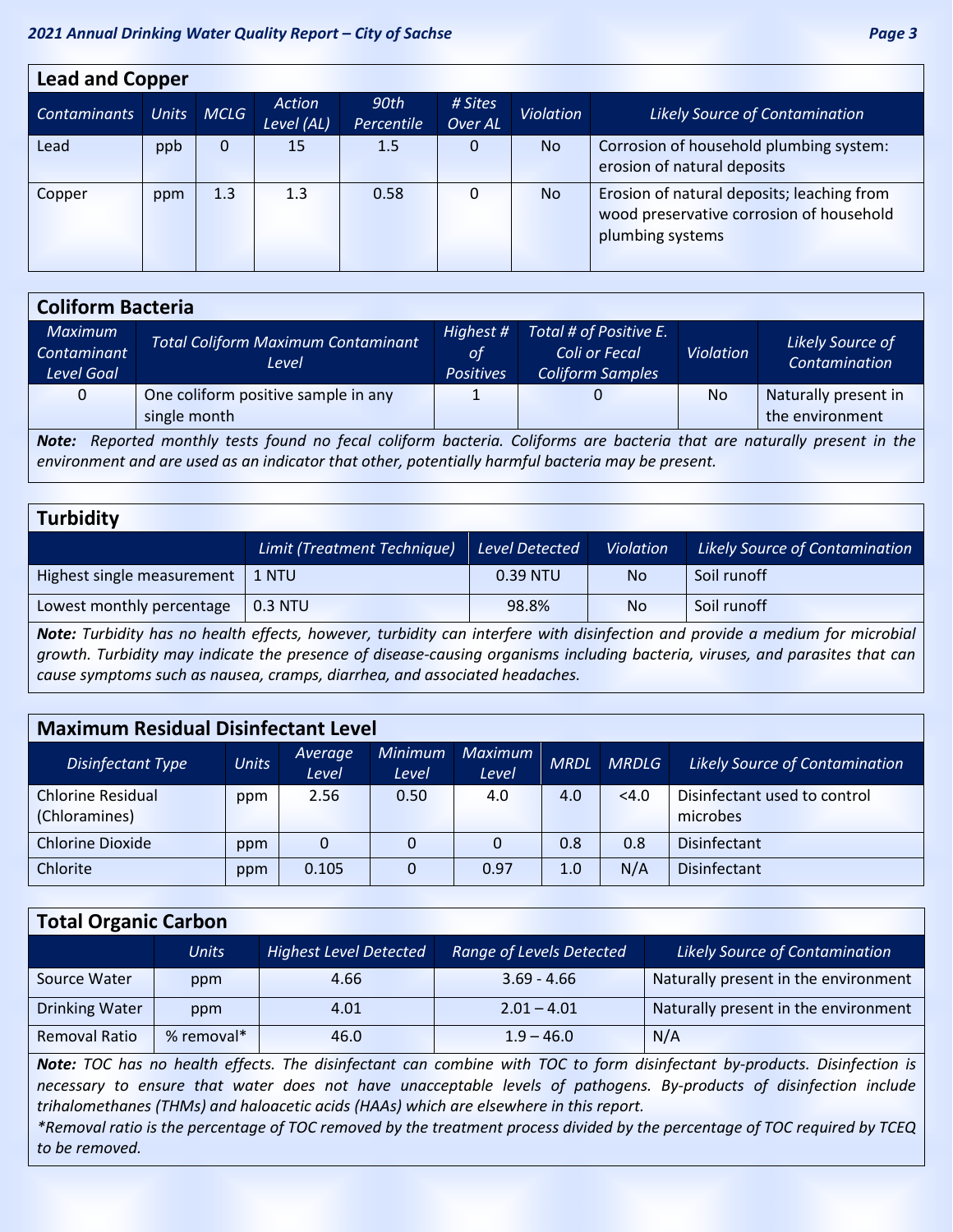| <b>Lead and Copper</b> |              |             |                      |                    |                    |                  |                                                                                                            |  |  |  |
|------------------------|--------------|-------------|----------------------|--------------------|--------------------|------------------|------------------------------------------------------------------------------------------------------------|--|--|--|
| <b>Contaminants</b>    | <b>Units</b> | <b>MCLG</b> | Action<br>Level (AL) | 90th<br>Percentile | # Sites<br>Over AL | <b>Violation</b> | <b>Likely Source of Contamination</b>                                                                      |  |  |  |
| Lead                   | ppb          | 0           | 15                   | 1.5                | 0                  | N <sub>o</sub>   | Corrosion of household plumbing system:<br>erosion of natural deposits                                     |  |  |  |
| Copper                 | ppm          | 1.3         | 1.3                  | 0.58               | 0                  | <b>No</b>        | Erosion of natural deposits; leaching from<br>wood preservative corrosion of household<br>plumbing systems |  |  |  |

| <b>Coliform Bacteria</b>                                                                                                   |                                                     |                                            |                                                                    |                  |                                         |  |  |  |  |
|----------------------------------------------------------------------------------------------------------------------------|-----------------------------------------------------|--------------------------------------------|--------------------------------------------------------------------|------------------|-----------------------------------------|--|--|--|--|
| <b>Maximum</b><br>Contaminant<br>Level Goal                                                                                | <b>Total Coliform Maximum Contaminant</b><br>Level  | Highest #<br><b>of</b><br><b>Positives</b> | Total # of Positive E.<br>Coli or Fecal<br><b>Coliform Samples</b> | <b>Violation</b> | Likely Source of<br>Contamination       |  |  |  |  |
| $\mathbf{0}$                                                                                                               | One coliform positive sample in any<br>single month |                                            |                                                                    | No.              | Naturally present in<br>the environment |  |  |  |  |
| Reported monthly tests found no fecal coliform bacteria. Coliforms are bacteria that are naturally present in the<br>Note: |                                                     |                                            |                                                                    |                  |                                         |  |  |  |  |

*environment and are used as an indicator that other, potentially harmful bacteria may be present.* 

### **Turbidity**

|                            | Limit (Treatment Technique) | Level Detected | <b>Violation</b> | Likely Source of Contamination |
|----------------------------|-----------------------------|----------------|------------------|--------------------------------|
| Highest single measurement | 1 NTU                       | 0.39 NTU       | <b>No</b>        | Soil runoff                    |
| Lowest monthly percentage  | $0.3$ NTU                   | 98.8%          | <b>No</b>        | Soil runoff                    |

*Note: Turbidity has no health effects, however, turbidity can interfere with disinfection and provide a medium for microbial growth. Turbidity may indicate the presence of disease-causing organisms including bacteria, viruses, and parasites that can cause symptoms such as nausea, cramps, diarrhea, and associated headaches.* 

### **Maximum Residual Disinfectant Level**

| Disinfectant Type                         | <b>Units</b> | Average<br>Level | <b>Minimum</b><br>Level | <b>Maximum</b><br>Level | <b>MRDL</b> | <b>MRDLG</b> | <b>Likely Source of Contamination</b>    |
|-------------------------------------------|--------------|------------------|-------------------------|-------------------------|-------------|--------------|------------------------------------------|
| <b>Chlorine Residual</b><br>(Chloramines) | ppm          | 2.56             | 0.50                    | 4.0                     | 4.0         | < 4.0        | Disinfectant used to control<br>microbes |
| <b>Chlorine Dioxide</b>                   | ppm          | 0                | 0                       | 0                       | 0.8         | 0.8          | <b>Disinfectant</b>                      |
| Chlorite                                  | ppm          | 0.105            |                         | 0.97                    | 1.0         | N/A          | <b>Disinfectant</b>                      |

### **Total Organic Carbon**

|                       | <b>Units</b> | <b>Highest Level Detected</b> | <b>Range of Levels Detected</b> | <b>Likely Source of Contamination</b> |
|-----------------------|--------------|-------------------------------|---------------------------------|---------------------------------------|
| Source Water          | ppm          | 4.66                          | $3.69 - 4.66$                   | Naturally present in the environment  |
| <b>Drinking Water</b> | ppm          | 4.01                          | $2.01 - 4.01$                   | Naturally present in the environment  |
| Removal Ratio         | % removal*   | 46.0                          | $1.9 - 46.0$                    | N/A                                   |

*Note: TOC has no health effects. The disinfectant can combine with TOC to form disinfectant by-products. Disinfection is necessary to ensure that water does not have unacceptable levels of pathogens. By-products of disinfection include trihalomethanes (THMs) and haloacetic acids (HAAs) which are elsewhere in this report.* 

*\*Removal ratio is the percentage of TOC removed by the treatment process divided by the percentage of TOC required by TCEQ to be removed.*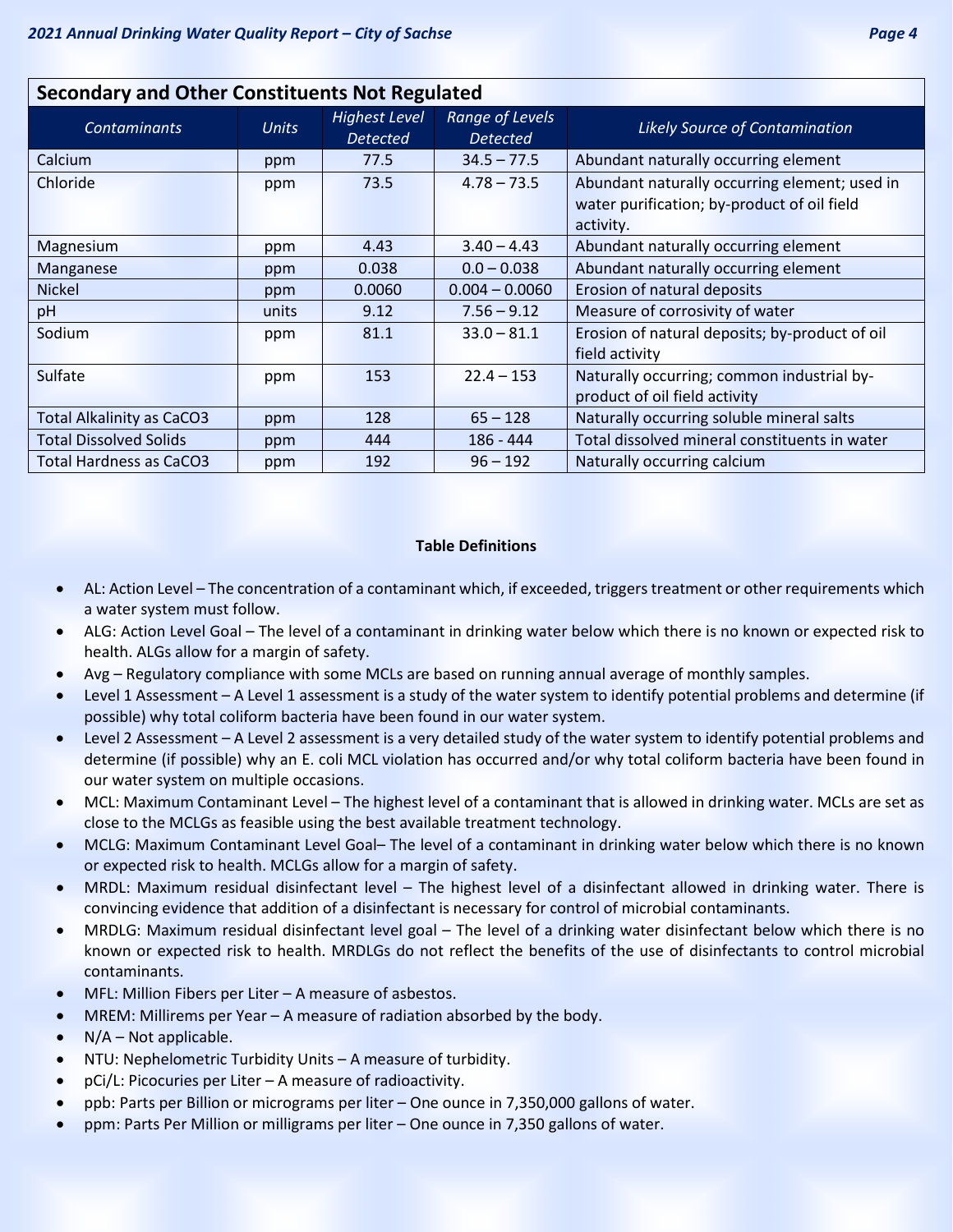| <b>Secondary and Other Constituents Not Regulated</b> |              |                                         |                                    |                                                                                                           |  |  |  |  |  |
|-------------------------------------------------------|--------------|-----------------------------------------|------------------------------------|-----------------------------------------------------------------------------------------------------------|--|--|--|--|--|
| <b>Contaminants</b>                                   | <b>Units</b> | <b>Highest Level</b><br><b>Detected</b> | Range of Levels<br><b>Detected</b> | <b>Likely Source of Contamination</b>                                                                     |  |  |  |  |  |
| Calcium                                               | ppm          | 77.5                                    | $34.5 - 77.5$                      | Abundant naturally occurring element                                                                      |  |  |  |  |  |
| Chloride                                              | ppm          | 73.5                                    | $4.78 - 73.5$                      | Abundant naturally occurring element; used in<br>water purification; by-product of oil field<br>activity. |  |  |  |  |  |
| Magnesium                                             | ppm          | 4.43                                    | $3.40 - 4.43$                      | Abundant naturally occurring element                                                                      |  |  |  |  |  |
| Manganese                                             | ppm          | 0.038                                   | $0.0 - 0.038$                      | Abundant naturally occurring element                                                                      |  |  |  |  |  |
| <b>Nickel</b>                                         | ppm          | 0.0060                                  | $0.004 - 0.0060$                   | Erosion of natural deposits                                                                               |  |  |  |  |  |
| pH                                                    | units        | 9.12                                    | $7.56 - 9.12$                      | Measure of corrosivity of water                                                                           |  |  |  |  |  |
| Sodium                                                | ppm          | 81.1                                    | $33.0 - 81.1$                      | Erosion of natural deposits; by-product of oil<br>field activity                                          |  |  |  |  |  |
| Sulfate                                               | ppm          | 153                                     | $22.4 - 153$                       | Naturally occurring; common industrial by-<br>product of oil field activity                               |  |  |  |  |  |
| <b>Total Alkalinity as CaCO3</b>                      | ppm          | 128                                     | $65 - 128$                         | Naturally occurring soluble mineral salts                                                                 |  |  |  |  |  |
| <b>Total Dissolved Solids</b>                         | ppm          | 444                                     | $186 - 444$                        | Total dissolved mineral constituents in water                                                             |  |  |  |  |  |
| Total Hardness as CaCO3                               | ppm          | 192                                     | $96 - 192$                         | Naturally occurring calcium                                                                               |  |  |  |  |  |

### **Table Definitions**

- AL: Action Level The concentration of a contaminant which, if exceeded, triggers treatment or other requirements which a water system must follow.
- ALG: Action Level Goal The level of a contaminant in drinking water below which there is no known or expected risk to health. ALGs allow for a margin of safety.
- Avg Regulatory compliance with some MCLs are based on running annual average of monthly samples.
- Level 1 Assessment A Level 1 assessment is a study of the water system to identify potential problems and determine (if possible) why total coliform bacteria have been found in our water system.
- Level 2 Assessment A Level 2 assessment is a very detailed study of the water system to identify potential problems and determine (if possible) why an E. coli MCL violation has occurred and/or why total coliform bacteria have been found in our water system on multiple occasions.
- MCL: Maximum Contaminant Level The highest level of a contaminant that is allowed in drinking water. MCLs are set as close to the MCLGs as feasible using the best available treatment technology.
- MCLG: Maximum Contaminant Level Goal– The level of a contaminant in drinking water below which there is no known or expected risk to health. MCLGs allow for a margin of safety.
- MRDL: Maximum residual disinfectant level The highest level of a disinfectant allowed in drinking water. There is convincing evidence that addition of a disinfectant is necessary for control of microbial contaminants.
- MRDLG: Maximum residual disinfectant level goal The level of a drinking water disinfectant below which there is no known or expected risk to health. MRDLGs do not reflect the benefits of the use of disinfectants to control microbial contaminants.
- MFL: Million Fibers per Liter A measure of asbestos.
- MREM: Millirems per Year A measure of radiation absorbed by the body.
- $N/A Not$  applicable.
- NTU: Nephelometric Turbidity Units A measure of turbidity.
- pCi/L: Picocuries per Liter A measure of radioactivity.
- ppb: Parts per Billion or micrograms per liter One ounce in 7,350,000 gallons of water.
- ppm: Parts Per Million or milligrams per liter One ounce in 7,350 gallons of water.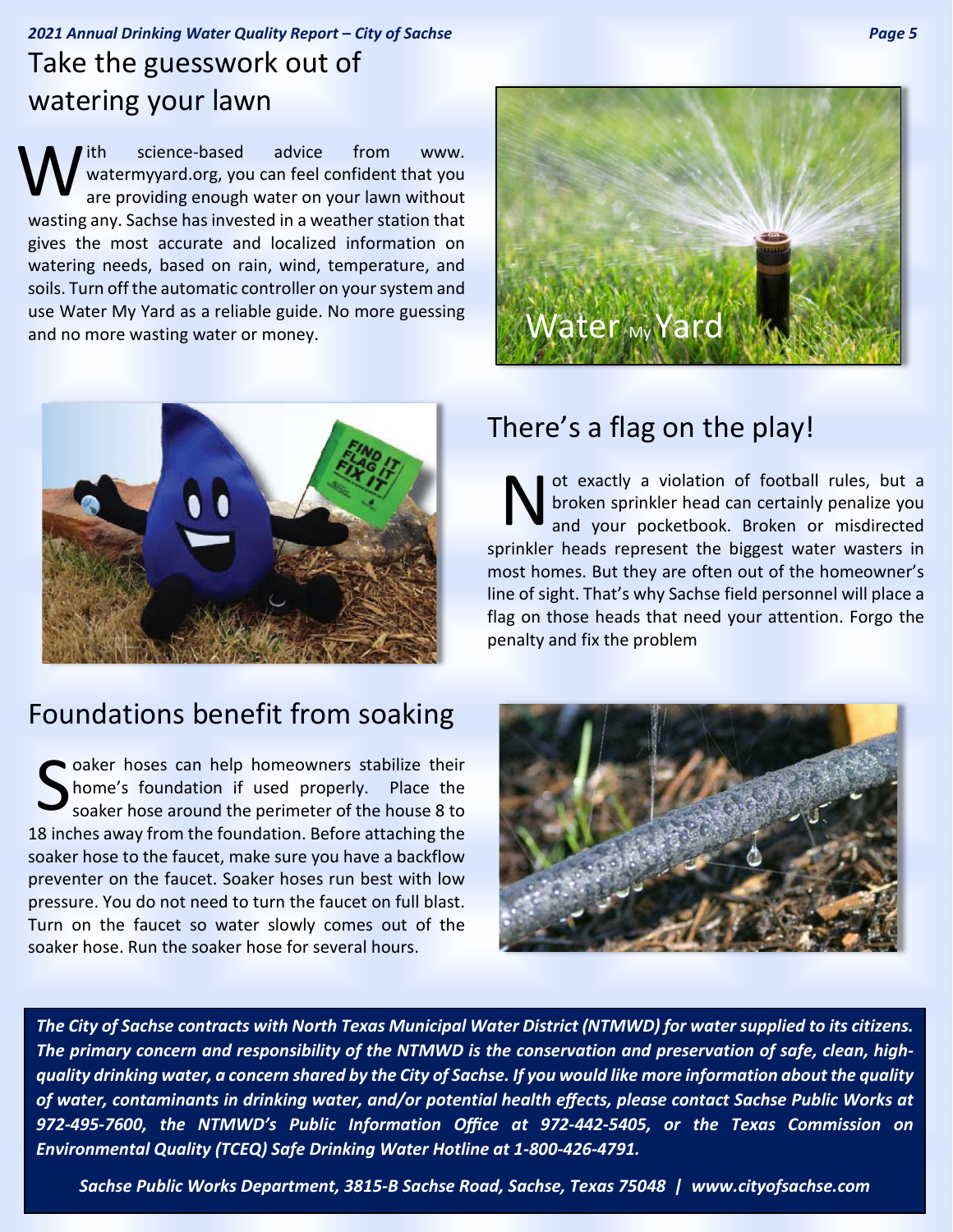### *2021 Annual Drinking Water Quality Report – City of Sachse Page 5* Take the guesswork out of watering your lawn

ith science-based advice from www. watermyyard.org, you can feel confident that you are providing enough water on your lawn without wasting any. Sachse has invested in a weather station that gives the most accurate and localized information on watering needs, based on rain, wind, temperature, and soils. Turn off the automatic controller on your system and use Water My Yard as a reliable guide. No more guessing and no more wasting water or money. W



## Foundations benefit from soaking

Soaker hoses can help homeowners stabilize their<br>
Shome's foundation if used properly. Place the<br>
soaker hose around the perimeter of the house 8 to home's foundation if used properly. Place the soaker hose around the perimeter of the house 8 to 18 inches away from the foundation. Before attaching the soaker hose to the faucet, make sure you have a backflow preventer on the faucet. Soaker hoses run best with low pressure. You do not need to turn the faucet on full blast. Turn on the faucet so water slowly comes out of the soaker hose. Run the soaker hose for several hours.



### There's a flag on the play!

ot exactly a violation of football rules, but a broken sprinkler head can certainly penalize you and your pocketbook. Broken or misdirected sprinkler heads represent the biggest water wasters in most homes. But they are often out of the homeowner's line of sight. That's why Sachse field personnel will place a flag on those heads that need your attention. Forgo the penalty and fix the problem N



*The City of Sachse contracts with North Texas Municipal Water District (NTMWD) for water supplied to its citizens. The primary concern and responsibility of the NTMWD is the conservation and preservation of safe, clean, highquality drinking water, a concern shared by the City of Sachse. If you would like more information about the quality of water, contaminants in drinking water, and/or potential health effects, please contact Sachse Public Works at 972-495-7600, the NTMWD's Public Information Office at 972-442-5405, or the Texas Commission on Environmental Quality (TCEQ) Safe Drinking Water Hotline at 1-800-426-4791.*

*Sachse Public Works Department, 3815-B Sachse Road, Sachse, Texas 75048 | www.cityofsachse.com*